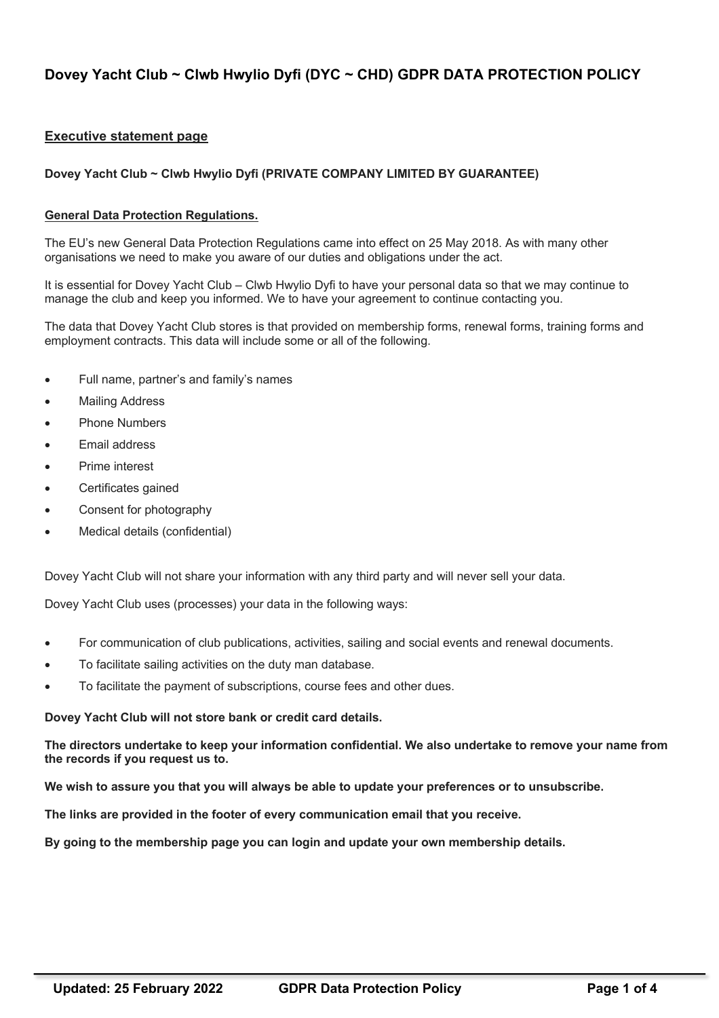# **Dovey Yacht Club ~ Clwb Hwylio Dyfi (DYC ~ CHD) GDPR DATA PROTECTION POLICY**

# **Executive statement page**

### **Dovey Yacht Club ~ Clwb Hwylio Dyfi (PRIVATE COMPANY LIMITED BY GUARANTEE)**

#### **General Data Protection Regulations.**

The EU's new General Data Protection Regulations came into effect on 25 May 2018. As with many other organisations we need to make you aware of our duties and obligations under the act.

It is essential for Dovey Yacht Club – Clwb Hwylio Dyfi to have your personal data so that we may continue to manage the club and keep you informed. We to have your agreement to continue contacting you.

The data that Dovey Yacht Club stores is that provided on membership forms, renewal forms, training forms and employment contracts. This data will include some or all of the following.

- Full name, partner's and family's names
- **Mailing Address**
- Phone Numbers
- Email address
- Prime interest
- Certificates gained
- Consent for photography
- Medical details (confidential)

Dovey Yacht Club will not share your information with any third party and will never sell your data.

Dovey Yacht Club uses (processes) your data in the following ways:

- For communication of club publications, activities, sailing and social events and renewal documents.
- To facilitate sailing activities on the duty man database.
- To facilitate the payment of subscriptions, course fees and other dues.

#### **Dovey Yacht Club will not store bank or credit card details.**

**The directors undertake to keep your information confidential. We also undertake to remove your name from the records if you request us to.**

**We wish to assure you that you will always be able to update your preferences or to unsubscribe.** 

**The links are provided in the footer of every communication email that you receive.**

**By going to the membership page you can login and update your own membership details.**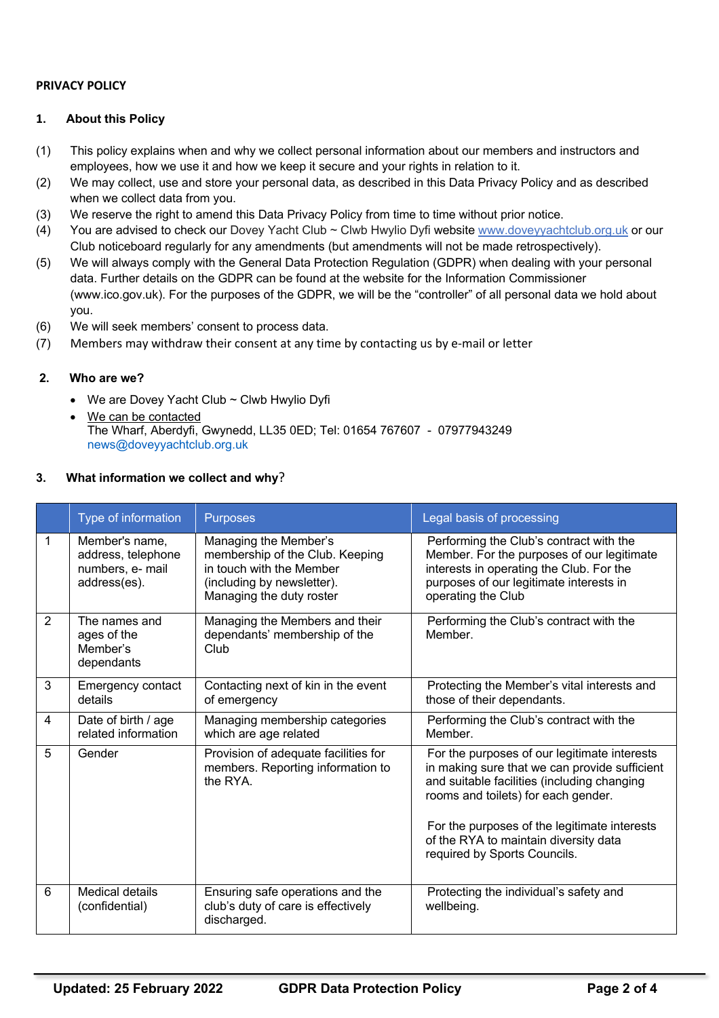# **PRIVACY POLICY**

## **1. About this Policy**

- (1) This policy explains when and why we collect personal information about our members and instructors and employees, how we use it and how we keep it secure and your rights in relation to it.
- (2) We may collect, use and store your personal data, as described in this Data Privacy Policy and as described when we collect data from you.
- (3) We reserve the right to amend this Data Privacy Policy from time to time without prior notice.
- (4) You are advised to check our Dovey Yacht Club ~ Clwb Hwylio Dyfi website www.doveyyachtclub.org.uk or our Club noticeboard regularly for any amendments (but amendments will not be made retrospectively).
- (5) We will always comply with the General Data Protection Regulation (GDPR) when dealing with your personal data. Further details on the GDPR can be found at the website for the Information Commissioner (www.ico.gov.uk). For the purposes of the GDPR, we will be the "controller" of all personal data we hold about you.
- (6) We will seek members' consent to process data.
- (7) Members may withdraw their consent at any time by contacting us by e-mail or letter

### **2. Who are we?**

- We are Dovey Yacht Club ~ Clwb Hwylio Dyfi
- We can be contacted The Wharf, Aberdyfi, Gwynedd, LL35 0ED; Tel: 01654 767607 - 07977943249 news@doveyyachtclub.org.uk

### **3. What information we collect and why**?

|   | Type of information                                                      | <b>Purposes</b>                                                                                                                                | Legal basis of processing                                                                                                                                                                                                                                                                                    |
|---|--------------------------------------------------------------------------|------------------------------------------------------------------------------------------------------------------------------------------------|--------------------------------------------------------------------------------------------------------------------------------------------------------------------------------------------------------------------------------------------------------------------------------------------------------------|
| 1 | Member's name,<br>address, telephone<br>numbers, e- mail<br>address(es). | Managing the Member's<br>membership of the Club. Keeping<br>in touch with the Member<br>(including by newsletter).<br>Managing the duty roster | Performing the Club's contract with the<br>Member. For the purposes of our legitimate<br>interests in operating the Club. For the<br>purposes of our legitimate interests in<br>operating the Club                                                                                                           |
| 2 | The names and<br>ages of the<br>Member's<br>dependants                   | Managing the Members and their<br>dependants' membership of the<br>Club                                                                        | Performing the Club's contract with the<br>Member.                                                                                                                                                                                                                                                           |
| 3 | Emergency contact<br>details                                             | Contacting next of kin in the event<br>of emergency                                                                                            | Protecting the Member's vital interests and<br>those of their dependants.                                                                                                                                                                                                                                    |
| 4 | Date of birth / age<br>related information                               | Managing membership categories<br>which are age related                                                                                        | Performing the Club's contract with the<br>Member.                                                                                                                                                                                                                                                           |
| 5 | Gender                                                                   | Provision of adequate facilities for<br>members. Reporting information to<br>the RYA.                                                          | For the purposes of our legitimate interests<br>in making sure that we can provide sufficient<br>and suitable facilities (including changing<br>rooms and toilets) for each gender.<br>For the purposes of the legitimate interests<br>of the RYA to maintain diversity data<br>required by Sports Councils. |
| 6 | Medical details<br>(confidential)                                        | Ensuring safe operations and the<br>club's duty of care is effectively<br>discharged.                                                          | Protecting the individual's safety and<br>wellbeing.                                                                                                                                                                                                                                                         |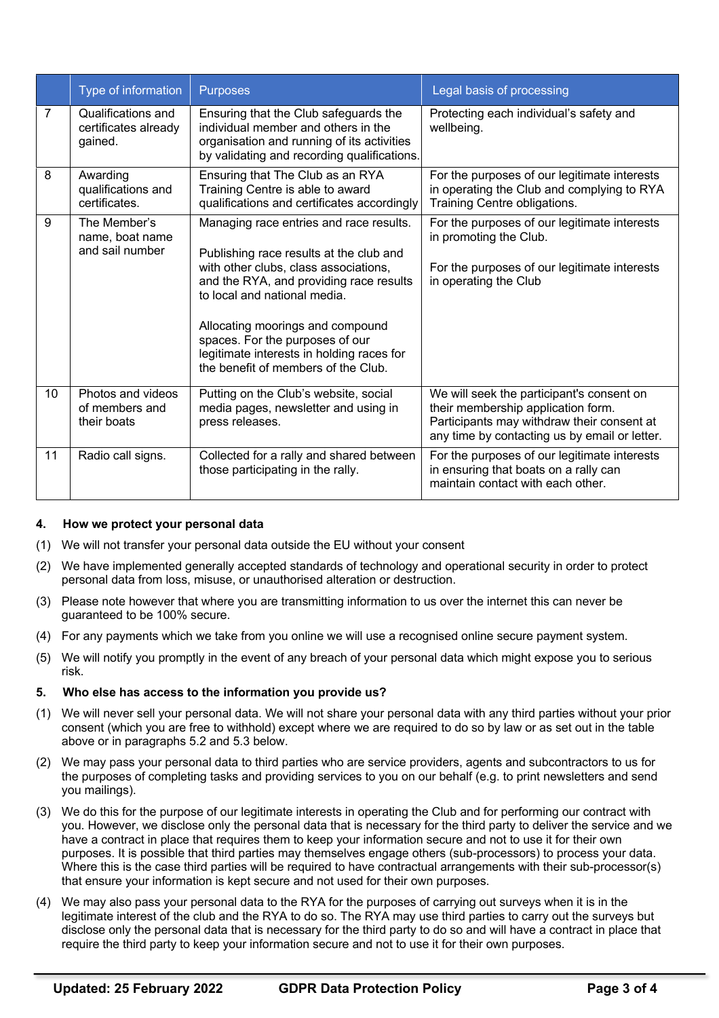|                | Type of information                                   | <b>Purposes</b>                                                                                                                                                                                                                                                                                                                                                   | Legal basis of processing                                                                                                                                                      |
|----------------|-------------------------------------------------------|-------------------------------------------------------------------------------------------------------------------------------------------------------------------------------------------------------------------------------------------------------------------------------------------------------------------------------------------------------------------|--------------------------------------------------------------------------------------------------------------------------------------------------------------------------------|
| $\overline{7}$ | Qualifications and<br>certificates already<br>gained. | Ensuring that the Club safeguards the<br>individual member and others in the<br>organisation and running of its activities<br>by validating and recording qualifications.                                                                                                                                                                                         | Protecting each individual's safety and<br>wellbeing.                                                                                                                          |
| 8              | Awarding<br>qualifications and<br>certificates.       | Ensuring that The Club as an RYA<br>Training Centre is able to award<br>qualifications and certificates accordingly                                                                                                                                                                                                                                               | For the purposes of our legitimate interests<br>in operating the Club and complying to RYA<br>Training Centre obligations.                                                     |
| 9              | The Member's<br>name, boat name<br>and sail number    | Managing race entries and race results.<br>Publishing race results at the club and<br>with other clubs, class associations,<br>and the RYA, and providing race results<br>to local and national media.<br>Allocating moorings and compound<br>spaces. For the purposes of our<br>legitimate interests in holding races for<br>the benefit of members of the Club. | For the purposes of our legitimate interests<br>in promoting the Club.<br>For the purposes of our legitimate interests<br>in operating the Club                                |
| 10             | Photos and videos<br>of members and<br>their boats    | Putting on the Club's website, social<br>media pages, newsletter and using in<br>press releases.                                                                                                                                                                                                                                                                  | We will seek the participant's consent on<br>their membership application form.<br>Participants may withdraw their consent at<br>any time by contacting us by email or letter. |
| 11             | Radio call signs.                                     | Collected for a rally and shared between<br>those participating in the rally.                                                                                                                                                                                                                                                                                     | For the purposes of our legitimate interests<br>in ensuring that boats on a rally can<br>maintain contact with each other.                                                     |

#### **4. How we protect your personal data**

- (1) We will not transfer your personal data outside the EU without your consent
- (2) We have implemented generally accepted standards of technology and operational security in order to protect personal data from loss, misuse, or unauthorised alteration or destruction.
- (3) Please note however that where you are transmitting information to us over the internet this can never be guaranteed to be 100% secure.
- (4) For any payments which we take from you online we will use a recognised online secure payment system.
- (5) We will notify you promptly in the event of any breach of your personal data which might expose you to serious risk.

#### **5. Who else has access to the information you provide us?**

- (1) We will never sell your personal data. We will not share your personal data with any third parties without your prior consent (which you are free to withhold) except where we are required to do so by law or as set out in the table above or in paragraphs 5.2 and 5.3 below.
- (2) We may pass your personal data to third parties who are service providers, agents and subcontractors to us for the purposes of completing tasks and providing services to you on our behalf (e.g. to print newsletters and send you mailings).
- (3) We do this for the purpose of our legitimate interests in operating the Club and for performing our contract with you. However, we disclose only the personal data that is necessary for the third party to deliver the service and we have a contract in place that requires them to keep your information secure and not to use it for their own purposes. It is possible that third parties may themselves engage others (sub-processors) to process your data. Where this is the case third parties will be required to have contractual arrangements with their sub-processor(s) that ensure your information is kept secure and not used for their own purposes.
- (4) We may also pass your personal data to the RYA for the purposes of carrying out surveys when it is in the legitimate interest of the club and the RYA to do so. The RYA may use third parties to carry out the surveys but disclose only the personal data that is necessary for the third party to do so and will have a contract in place that require the third party to keep your information secure and not to use it for their own purposes.